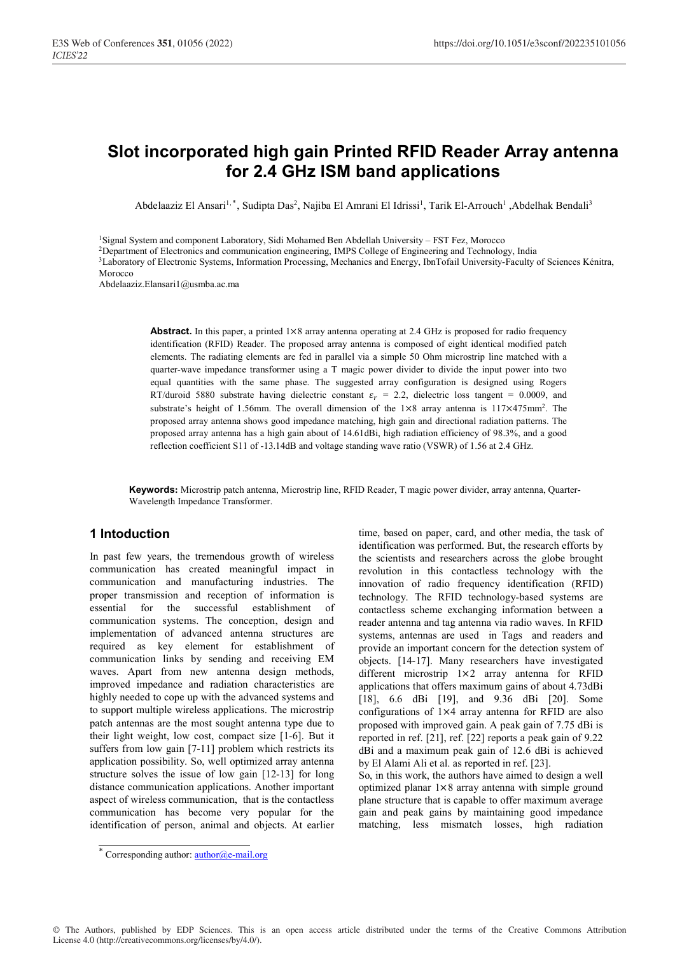# **Slot incorporated high gain Printed RFID Reader Array antenna for 2.4 GHz ISM band applications**

Abdelaaziz El Ansari<sup>1,\*</sup>, Sudipta Das<sup>2</sup>, Najiba El Amrani El Idrissi<sup>1</sup>, Tarik El-Arrouch<sup>1</sup>, Abdelhak Bendali<sup>3</sup>

1Signal System and component Laboratory, Sidi Mohamed Ben Abdellah University – FST Fez, Morocco

2Department of Electronics and communication engineering, IMPS College of Engineering and Technology, India

3Laboratory of Electronic Systems, Information Processing, Mechanics and Energy, IbnTofail University-Faculty of Sciences Kénitra, Morocco

Abdelaaziz.Elansari1@usmba.ac.ma

**Abstract.** In this paper, a printed  $1\times8$  array antenna operating at 2.4 GHz is proposed for radio frequency identification (RFID) Reader. The proposed array antenna is composed of eight identical modified patch elements. The radiating elements are fed in parallel via a simple 50 Ohm microstrip line matched with a quarter-wave impedance transformer using a T magic power divider to divide the input power into two equal quantities with the same phase. The suggested array configuration is designed using Rogers RT/duroid 5880 substrate having dielectric constant  $\varepsilon_r = 2.2$ , dielectric loss tangent = 0.0009, and substrate's height of 1.56mm. The overall dimension of the 1×8 array antenna is 117×475mm2. The proposed array antenna shows good impedance matching, high gain and directional radiation patterns. The proposed array antenna has a high gain about of 14.61dBi, high radiation efficiency of 98.3%, and a good reflection coefficient S11 of -13.14dB and voltage standing wave ratio (VSWR) of 1.56 at 2.4 GHz.

**Keywords:** Microstrip patch antenna, Microstrip line, RFID Reader, T magic power divider, array antenna, Quarter-Wavelength Impedance Transformer.

## **1 Intoduction**

In past few years, the tremendous growth of wireless communication has created meaningful impact in communication and manufacturing industries. The proper transmission and reception of information is essential for the successful establishment of communication systems. The conception, design and implementation of advanced antenna structures are required as key element for establishment of communication links by sending and receiving EM waves. Apart from new antenna design methods, improved impedance and radiation characteristics are highly needed to cope up with the advanced systems and to support multiple wireless applications. The microstrip patch antennas are the most sought antenna type due to their light weight, low cost, compact size [1-6]. But it suffers from low gain [7-11] problem which restricts its application possibility. So, well optimized array antenna structure solves the issue of low gain [12-13] for long distance communication applications. Another important aspect of wireless communication, that is the contactless communication has become very popular for the identification of person, animal and objects. At earlier time, based on paper, card, and other media, the task of identification was performed. But, the research efforts by the scientists and researchers across the globe brought revolution in this contactless technology with the innovation of radio frequency identification (RFID) technology. The RFID technology-based systems are contactless scheme exchanging information between a reader antenna and tag antenna via radio waves. In RFID systems, antennas are used in Tags and readers and provide an important concern for the detection system of objects. [14-17]. Many researchers have investigated different microstrip 1×2 array antenna for RFID applications that offers maximum gains of about 4.73dBi [18], 6.6 dBi [19], and 9.36 dBi [20]. Some configurations of 1×4 array antenna for RFID are also proposed with improved gain. A peak gain of 7.75 dBi is reported in ref. [21], ref. [22] reports a peak gain of 9.22 dBi and a maximum peak gain of 12.6 dBi is achieved by El Alami Ali et al. as reported in ref. [23].

So, in this work, the authors have aimed to design a well optimized planar 1×8 array antenna with simple ground plane structure that is capable to offer maximum average gain and peak gains by maintaining good impedance matching, less mismatch losses, high radiation

© The Authors, published by EDP Sciences. This is an open access article distributed under the terms of the Creative Commons Attribution License 4.0 (http://creativecommons.org/licenses/by/4.0/).

<sup>\*</sup> Corresponding author: **author@e-mail.org**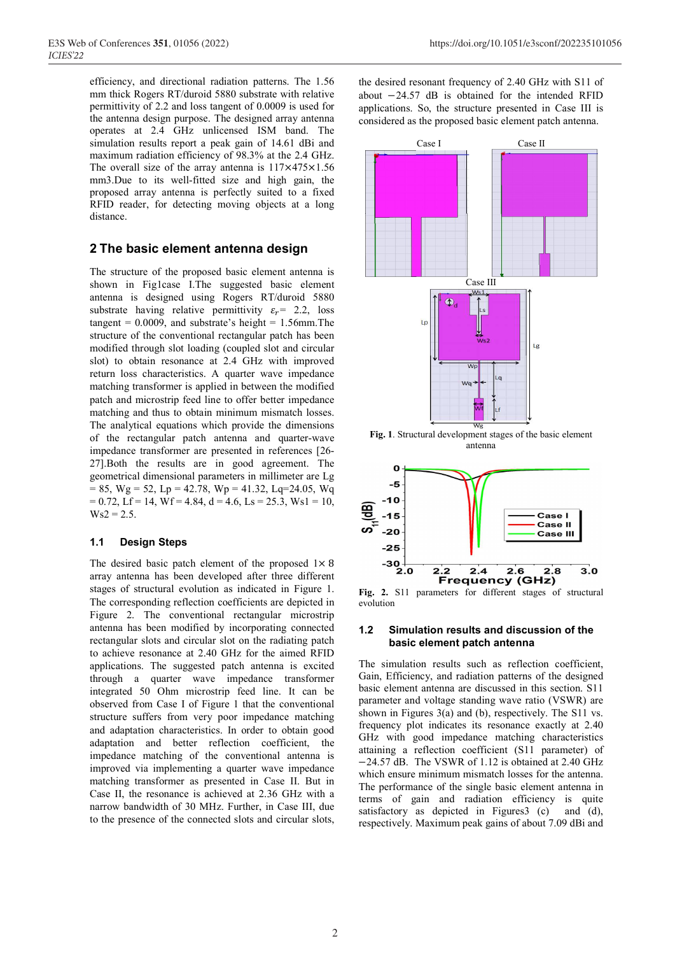efficiency, and directional radiation patterns. The 1.56 mm thick Rogers RT/duroid 5880 substrate with relative permittivity of 2.2 and loss tangent of 0.0009 is used for the antenna design purpose. The designed array antenna operates at 2.4 GHz unlicensed ISM band. The simulation results report a peak gain of 14.61 dBi and maximum radiation efficiency of 98.3% at the 2.4 GHz. The overall size of the array antenna is  $117\times475\times1.56$ mm3.Due to its well-fitted size and high gain, the proposed array antenna is perfectly suited to a fixed RFID reader, for detecting moving objects at a long distance.

## **2 The basic element antenna design**

The structure of the proposed basic element antenna is shown in Fig1case I.The suggested basic element antenna is designed using Rogers RT/duroid 5880 substrate having relative permittivity  $\varepsilon_r$  = 2.2, loss tangent =  $0.0009$ , and substrate's height =  $1.56$ mm.The structure of the conventional rectangular patch has been modified through slot loading (coupled slot and circular slot) to obtain resonance at 2.4 GHz with improved return loss characteristics. A quarter wave impedance matching transformer is applied in between the modified patch and microstrip feed line to offer better impedance matching and thus to obtain minimum mismatch losses. The analytical equations which provide the dimensions of the rectangular patch antenna and quarter-wave impedance transformer are presented in references [26- 27].Both the results are in good agreement. The geometrical dimensional parameters in millimeter are Lg  $= 85$ , Wg  $= 52$ , Lp  $= 42.78$ , Wp  $= 41.32$ , Lq=24.05, Wq  $= 0.72$ , Lf = 14, Wf = 4.84, d = 4.6, Ls = 25.3, Ws1 = 10,  $Ws2 = 2.5.$ 

#### **1.1 Design Steps**

The desired basic patch element of the proposed  $1 \times 8$ array antenna has been developed after three different stages of structural evolution as indicated in Figure 1. The corresponding reflection coefficients are depicted in Figure 2. The conventional rectangular microstrip antenna has been modified by incorporating connected rectangular slots and circular slot on the radiating patch to achieve resonance at 2.40 GHz for the aimed RFID applications. The suggested patch antenna is excited through a quarter wave impedance transformer integrated 50 Ohm microstrip feed line. It can be observed from Case I of Figure 1 that the conventional structure suffers from very poor impedance matching and adaptation characteristics. In order to obtain good adaptation and better reflection coefficient, the impedance matching of the conventional antenna is improved via implementing a quarter wave impedance matching transformer as presented in Case II. But in Case II, the resonance is achieved at 2.36 GHz with a narrow bandwidth of 30 MHz. Further, in Case III, due to the presence of the connected slots and circular slots,

the desired resonant frequency of 2.40 GHz with S11 of about −24.57 dB is obtained for the intended RFID applications. So, the structure presented in Case III is considered as the proposed basic element patch antenna.



**Fig. 1**. Structural development stages of the basic element antenna



**Fig. 2.** S11 parameters for different stages of structural evolution

#### **1.2 Simulation results and discussion of the basic element patch antenna**

The simulation results such as reflection coefficient, Gain, Efficiency, and radiation patterns of the designed basic element antenna are discussed in this section. S11 parameter and voltage standing wave ratio (VSWR) are shown in Figures 3(a) and (b), respectively. The S11 vs. frequency plot indicates its resonance exactly at 2.40 GHz with good impedance matching characteristics attaining a reflection coefficient (S11 parameter) of −24.57 dB. The VSWR of 1.12 is obtained at 2.40 GHz which ensure minimum mismatch losses for the antenna. The performance of the single basic element antenna in terms of gain and radiation efficiency is quite satisfactory as depicted in Figures 3(c) and (d), respectively. Maximum peak gains of about 7.09 dBi and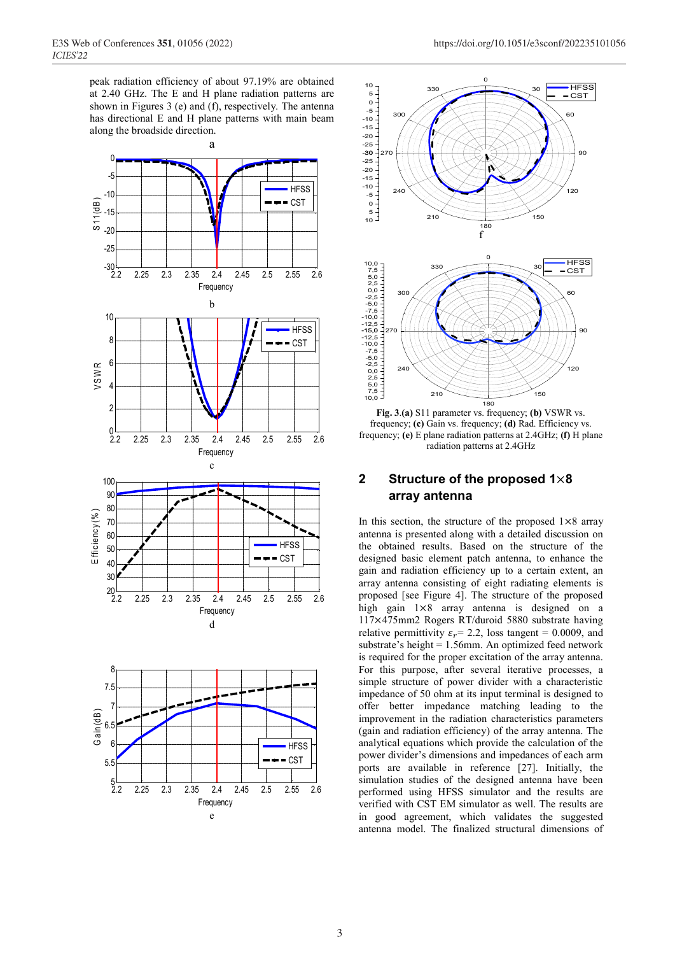peak radiation efficiency of about 97.19% are obtained at 2.40 GHz. The E and H plane radiation patterns are shown in Figures 3 (e) and  $(f)$ , respectively. The antenna has directional E and H plane patterns with main beam along the broadside direction.



e

**Frequency** 





**Fig. 3**.**(a)** S11 parameter vs. frequency; **(b)** VSWR vs. frequency; **(c)** Gain vs. frequency; **(d)** Rad. Efficiency vs. frequency; **(e)** E plane radiation patterns at 2.4GHz; **(f)** H plane radiation patterns at 2.4GHz

## **2 Structure of the proposed 1**×**8 array antenna**

In this section, the structure of the proposed  $1\times8$  array antenna is presented along with a detailed discussion on the obtained results. Based on the structure of the designed basic element patch antenna, to enhance the gain and radiation efficiency up to a certain extent, an array antenna consisting of eight radiating elements is proposed [see Figure 4]. The structure of the proposed high gain  $1\times8$  array antenna is designed on a 117×475mm2 Rogers RT/duroid 5880 substrate having relative permittivity  $\varepsilon_r$  = 2.2, loss tangent = 0.0009, and substrate's height = 1.56mm. An optimized feed network is required for the proper excitation of the array antenna. For this purpose, after several iterative processes, a simple structure of power divider with a characteristic impedance of 50 ohm at its input terminal is designed to offer better impedance matching leading to the improvement in the radiation characteristics parameters (gain and radiation efficiency) of the array antenna. The analytical equations which provide the calculation of the power divider's dimensions and impedances of each arm ports are available in reference [27]. Initially, the simulation studies of the designed antenna have been performed using HFSS simulator and the results are verified with CST EM simulator as well. The results are in good agreement, which validates the suggested antenna model. The finalized structural dimensions of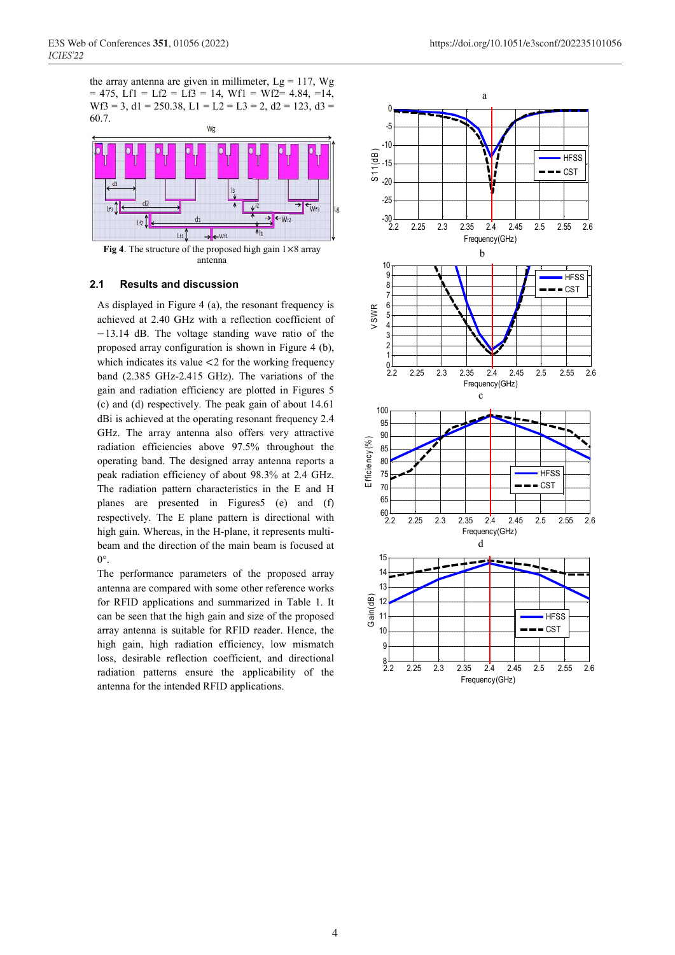the array antenna are given in millimeter,  $Lg = 117$ , Wg  $= 475$ , Lf1 = Lf2 = Lf3 = 14, Wf1 = Wf2= 4.84, =14, Wf3 = 3, d1 = 250.38, L1 = L2 = L3 = 2, d2 = 123, d3 = 60.7.





**Fig 4**. The structure of the proposed high gain 1×8 array antenna

## **2.1 Results and discussion**

As displayed in Figure 4 (a), the resonant frequency is achieved at 2.40 GHz with a reflection coefficient of −13.14 dB. The voltage standing wave ratio of the proposed array configuration is shown in Figure 4 (b), which indicates its value  $\leq$  2 for the working frequency band (2.385 GHz-2.415 GHz). The variations of the gain and radiation efficiency are plotted in Figures 5 (c) and (d) respectively. The peak gain of about 14.61 dBi is achieved at the operating resonant frequency 2.4 GHz. The array antenna also offers very attractive radiation efficiencies above 97.5% throughout the operating band. The designed array antenna reports a peak radiation efficiency of about 98.3% at 2.4 GHz. The radiation pattern characteristics in the E and H planes are presented in Figures5 (e) and (f) respectively. The E plane pattern is directional with high gain. Whereas, in the H-plane, it represents multibeam and the direction of the main beam is focused at  $0^{\circ}$ .

The performance parameters of the proposed array antenna are compared with some other reference works for RFID applications and summarized in Table 1. It can be seen that the high gain and size of the proposed array antenna is suitable for RFID reader. Hence, the high gain, high radiation efficiency, low mismatch loss, desirable reflection coefficient, and directional radiation patterns ensure the applicability of the antenna for the intended RFID applications.



 $\cup$ 

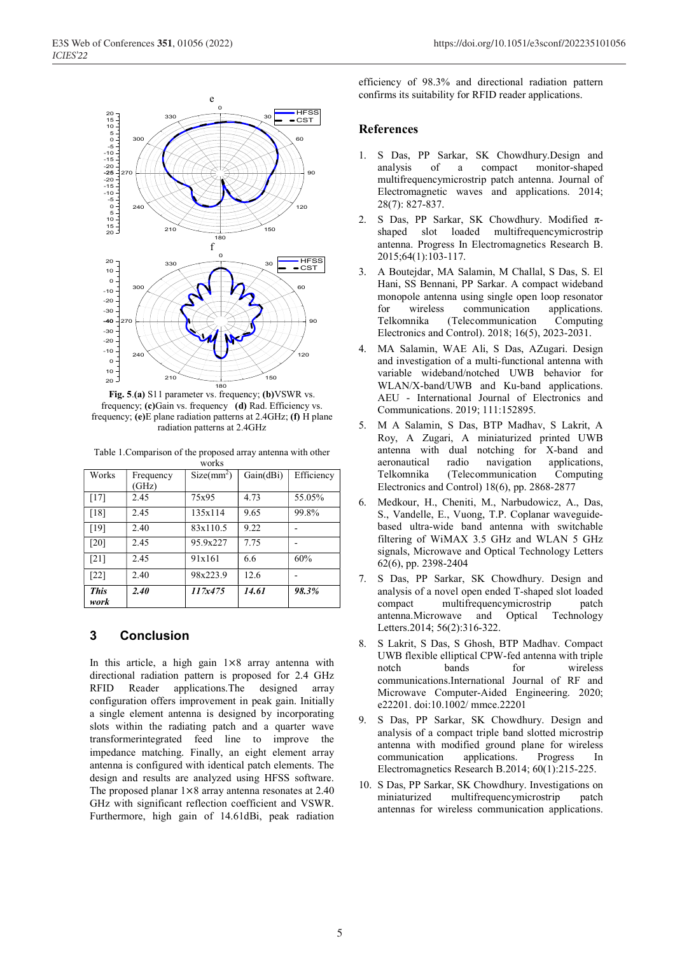

**Fig. 5**.**(a)** S11 parameter vs. frequency; **(b)**VSWR vs. frequency; **(c)**Gain vs. frequency **(d)** Rad. Efficiency vs. frequency; **(e)**E plane radiation patterns at 2.4GHz; **(f)** H plane radiation patterns at 2.4GHz

Table 1.Comparison of the proposed array antenna with other works

| Works               | Frequency<br>(GHz) | $Size(mm^2)$ | Gain(dBi) | Efficiency |
|---------------------|--------------------|--------------|-----------|------------|
| [17]                | 2.45               | 75x95        | 4.73      | 55.05%     |
| [18]                | 2.45               | 135x114      | 9.65      | 99.8%      |
| [19]                | 2.40               | 83x110.5     | 9.22      |            |
| [20]                | 2.45               | 95.9x227     | 7.75      |            |
| [21]                | 2.45               | 91x161       | 6.6       | 60%        |
| [22]                | 2.40               | 98x223.9     | 12.6      |            |
| <b>This</b><br>work | 2.40               | 117x475      | 14.61     | 98.3%      |

## **3 Conclusion**

In this article, a high gain 1×8 array antenna with directional radiation pattern is proposed for 2.4 GHz RFID Reader applications.The designed array configuration offers improvement in peak gain. Initially a single element antenna is designed by incorporating slots within the radiating patch and a quarter wave transformerintegrated feed line to improve the impedance matching. Finally, an eight element array antenna is configured with identical patch elements. The design and results are analyzed using HFSS software. The proposed planar  $1\times8$  array antenna resonates at 2.40 GHz with significant reflection coefficient and VSWR. Furthermore, high gain of 14.61dBi, peak radiation

efficiency of 98.3% and directional radiation pattern confirms its suitability for RFID reader applications.

## **References**

- 1. S Das, PP Sarkar, SK Chowdhury.Design and analysis of a compact monitor-shaped multifrequencymicrostrip patch antenna. Journal of Electromagnetic waves and applications. 2014; 28(7): 827-837.
- 2. S Das, PP Sarkar, SK Chowdhury. Modified πshaped slot loaded multifrequencymicrostrip antenna. Progress In Electromagnetics Research B. 2015;64(1):103-117.
- 3. A Boutejdar, MA Salamin, M Challal, S Das, S. El Hani, SS Bennani, PP Sarkar. A compact wideband monopole antenna using single open loop resonator for wireless communication applications. Telkomnika (Telecommunication Computing Electronics and Control). 2018; 16(5), 2023-2031.
- 4. MA Salamin, WAE Ali, S Das, AZugari. Design and investigation of a multi-functional antenna with variable wideband/notched UWB behavior for WLAN/X-band/UWB and Ku-band applications. AEU - International Journal of Electronics and Communications. 2019; 111:152895.
- 5. M A Salamin, S Das, BTP Madhav, S Lakrit, A Roy, A Zugari, A miniaturized printed UWB antenna with dual notching for X-band and aeronautical radio navigation applications, Telkomnika (Telecommunication Computing Electronics and Control) 18(6), pp. 2868-2877
- 6. Medkour, H., Cheniti, M., Narbudowicz, A., Das, S., Vandelle, E., Vuong, T.P. Coplanar waveguidebased ultra-wide band antenna with switchable filtering of WiMAX 3.5 GHz and WLAN 5 GHz signals, Microwave and Optical Technology Letters 62(6), pp. 2398-2404
- 7. S Das, PP Sarkar, SK Chowdhury. Design and analysis of a novel open ended T-shaped slot loaded compact multifrequencymicrostrip patch antenna.Microwave and Optical Technology Letters.2014; 56(2):316-322.
- 8. S Lakrit, S Das, S Ghosh, BTP Madhav. Compact UWB flexible elliptical CPW-fed antenna with triple notch bands for wireless communications.International Journal of RF and Microwave Computer-Aided Engineering. 2020; e22201. doi:10.1002/ mmce.22201
- 9. S Das, PP Sarkar, SK Chowdhury. Design and analysis of a compact triple band slotted microstrip antenna with modified ground plane for wireless communication applications. Progress In Electromagnetics Research B.2014; 60(1):215-225.
- 10. S Das, PP Sarkar, SK Chowdhury. Investigations on miniaturized multifrequencymicrostrip patch antennas for wireless communication applications.